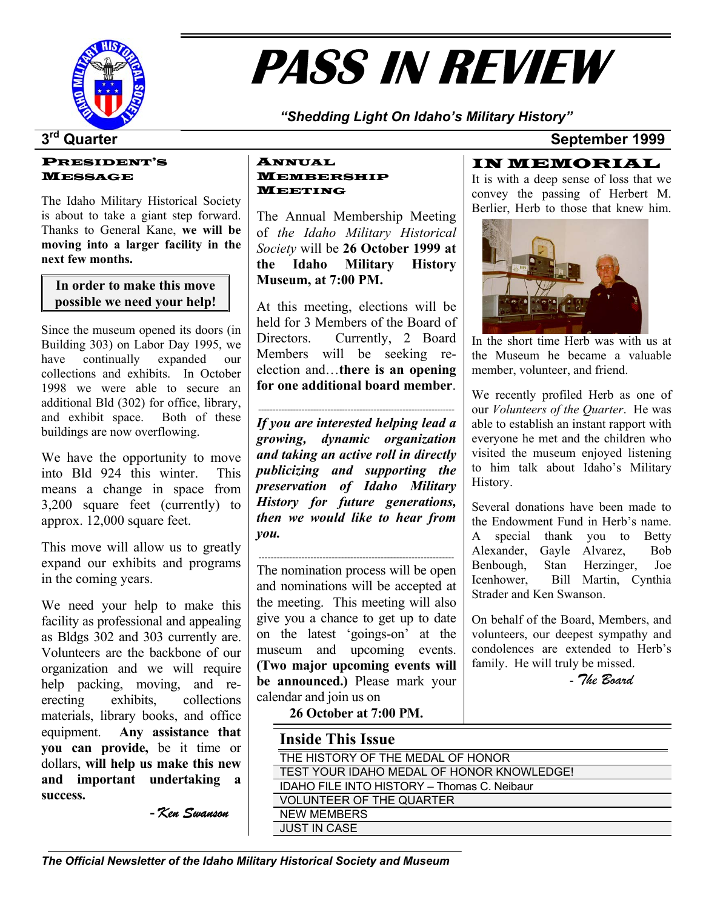

# **PASS IN REVIEW**

*"Shedding Light On Idaho's Military History"* 

## **3rd Quarter September 1999**

#### PRESIDENT'S MESSAGE

The Idaho Military Historical Society is about to take a giant step forward. Thanks to General Kane, **we will be moving into a larger facility in the next few months.**

**In order to make this move possible we need your help!**

Since the museum opened its doors (in Building 303) on Labor Day 1995, we have continually expanded our collections and exhibits. In October 1998 we were able to secure an additional Bld (302) for office, library, and exhibit space. Both of these buildings are now overflowing.

We have the opportunity to move into Bld 924 this winter. This means a change in space from 3,200 square feet (currently) to approx. 12,000 square feet.

This move will allow us to greatly expand our exhibits and programs in the coming years.

We need your help to make this facility as professional and appealing as Bldgs 302 and 303 currently are. Volunteers are the backbone of our organization and we will require help packing, moving, and reerecting exhibits, collections materials, library books, and office equipment. **Any assistance that you can provide,** be it time or dollars, **will help us make this new and important undertaking a success.** 

 **-** *Ken Swanson* 

#### ANNUAL MEMBERSHIP MEETING

The Annual Membership Meeting of *the Idaho Military Historical Society* will be **26 October 1999 at the Idaho Military History Museum, at 7:00 PM.** 

At this meeting, elections will be held for 3 Members of the Board of Directors. Currently, 2 Board Members will be seeking reelection and…**there is an opening for one additional board member.** We recently profiled Herb as one of

-------------------------------------------------------------------- *If you are interested helping lead a growing, dynamic organization and taking an active roll in directly publicizing and supporting the preservation of Idaho Military History for future generations, then we would like to hear from you.* 

----------------------------------------------------------------

The nomination process will be open and nominations will be accepted at the meeting. This meeting will also give you a chance to get up to date on the latest 'goings-on' at the museum and upcoming events. **(Two major upcoming events will be announced.)** Please mark your calendar and join us on

#### **26 October at 7:00 PM.**

| <b>Inside This Issue</b>                    |
|---------------------------------------------|
| THE HISTORY OF THE MEDAL OF HONOR           |
| TEST YOUR IDAHO MEDAL OF HONOR KNOWLEDGE!   |
| IDAHO FILE INTO HISTORY - Thomas C. Neibaur |
| <b>VOLUNTEER OF THE QUARTER</b>             |
| <b>NEW MEMBERS</b>                          |
| <b>JUST IN CASE</b>                         |

IN MEMORIAL

It is with a deep sense of loss that we convey the passing of Herbert M. Berlier, Herb to those that knew him.



In the short time Herb was with us at the Museum he became a valuable member, volunteer, and friend.

our *Volunteers of the Quarter*. He was able to establish an instant rapport with everyone he met and the children who visited the museum enjoyed listening to him talk about Idaho's Military History.

Several donations have been made to the Endowment Fund in Herb's name. A special thank you to Betty Alexander, Gayle Alvarez, Bob Benbough, Stan Herzinger, Joe Icenhower, Bill Martin, Cynthia Strader and Ken Swanson.

On behalf of the Board, Members, and volunteers, our deepest sympathy and condolences are extended to Herb's family. He will truly be missed.

- *The Board*

*The Official Newsletter of the Idaho Military Historical Society and Museum*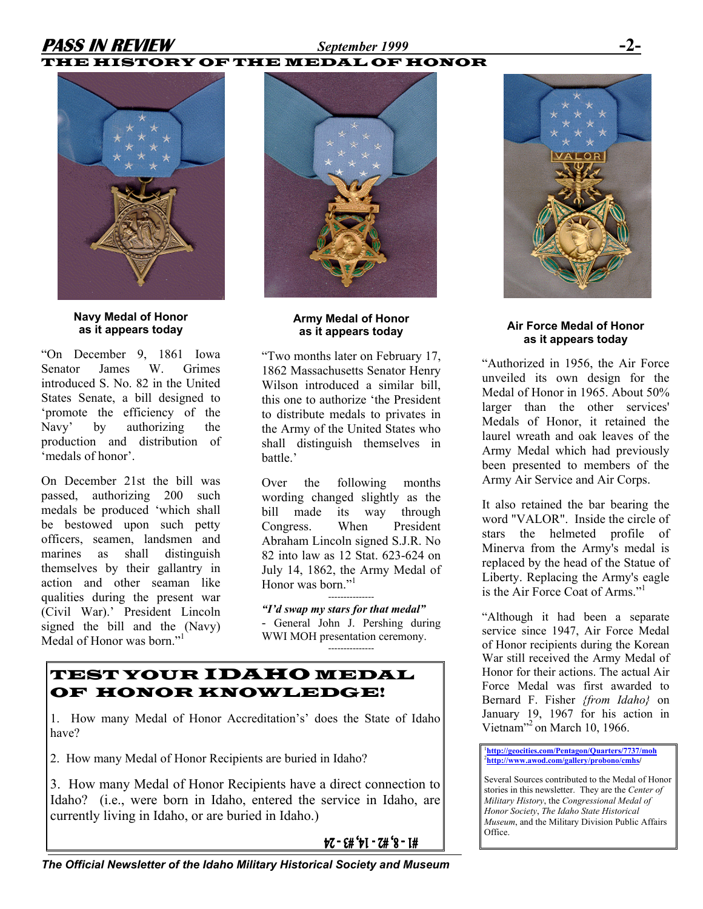# **PASS IN REVIEW** *September 1999* **-2-**

## THE HISTORY OF THE MEDAL OF HONOR



**Navy Medal of Honor as it appears today**

"On December 9, 1861 Iowa Senator James W. Grimes introduced S. No. 82 in the United States Senate, a bill designed to 'promote the efficiency of the Navy' by authorizing the production and distribution of 'medals of honor'.

On December 21st the bill was passed, authorizing 200 such medals be produced 'which shall be bestowed upon such petty officers, seamen, landsmen and marines as shall distinguish themselves by their gallantry in action and other seaman like qualities during the present war (Civil War).' President Lincoln signed the bill and the (Navy) Medal of Honor was born."<sup>1</sup>



#### **Army Medal of Honor as it appears today**

"Two months later on February 17, 1862 Massachusetts Senator Henry Wilson introduced a similar bill, this one to authorize 'the President to distribute medals to privates in the Army of the United States who shall distinguish themselves in battle.'

Over the following months wording changed slightly as the bill made its way through Congress. When President Abraham Lincoln signed S.J.R. No 82 into law as 12 Stat. 623-624 on July 14, 1862, the Army Medal of Honor was born."<sup>1</sup>

*"I'd swap my stars for that medal"*  - General John J. Pershing during WWI MOH presentation ceremony.

---------------

## TEST YOUR IDAHO MEDAL OF HONOR KNOWLEDGE!

1. How many Medal of Honor Accreditation's' does the State of Idaho have?

2. How many Medal of Honor Recipients are buried in Idaho?

3. How many Medal of Honor Recipients have a direct connection to Idaho? (i.e., were born in Idaho, entered the service in Idaho, are currently living in Idaho, or are buried in Idaho.)

 $67 - 64' + 1 - 74' + 8 - 14$ 



#### **Air Force Medal of Honor as it appears today**

"Authorized in 1956, the Air Force unveiled its own design for the Medal of Honor in 1965. About 50% larger than the other services' Medals of Honor, it retained the laurel wreath and oak leaves of the Army Medal which had previously been presented to members of the Army Air Service and Air Corps.

It also retained the bar bearing the word "VALOR". Inside the circle of stars the helmeted profile of Minerva from the Army's medal is replaced by the head of the Statue of Liberty. Replacing the Army's eagle is the Air Force Coat of Arms."1 

"Although it had been a separate service since 1947, Air Force Medal of Honor recipients during the Korean War still received the Army Medal of Honor for their actions. The actual Air Force Medal was first awarded to Bernard F. Fisher *{from Idaho}* on January 19, 1967 for his action in Vietnam"<sup>2</sup> on March 10, 1966.

<sup>1</sup><br>http://geocities.com/Pentagon/Quarters/7737/moh<br><sup>[2](http://geocities.com/Pentagon/Quarters/7737/moh)</sup>http://www.ewed.com/gellem/prebene/embe/ **<http://www.awod.com/gallery/probono/cmhs>/**

Several Sources contributed to the Medal of Honor stories in this newsletter. They are the *Center of Military History*, the *Congressional Medal of Honor Society*, *The Idaho State Historical Museum*, and the Military Division Public Affairs Office.

*The Official Newsletter of the Idaho Military Historical Society and Museum*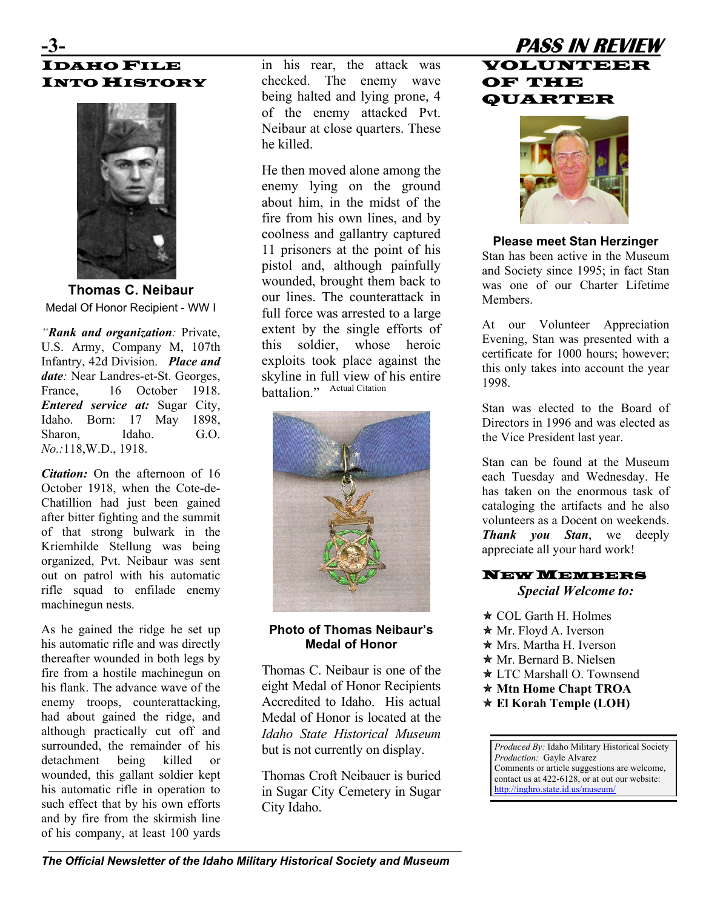# IDAHO FILE **INTO HISTORY**



**Thomas C. Neibaur**  Medal Of Honor Recipient - WW I

*"Rank and organization:* Private, U.S. Army, Company M, 107th Infantry, 42d Division. *Place and date:* Near Landres-et-St. Georges, France, 16 October 1918. *Entered service at:* Sugar City, Idaho. Born: 17 May 1898, Sharon. Idaho. G.O. *No.:*118,W.D., 1918.

*Citation:* On the afternoon of 16 October 1918, when the Cote-de-Chatillion had just been gained after bitter fighting and the summit of that strong bulwark in the Kriemhilde Stellung was being organized, Pvt. Neibaur was sent out on patrol with his automatic rifle squad to enfilade enemy machinegun nests.

As he gained the ridge he set up his automatic rifle and was directly thereafter wounded in both legs by fire from a hostile machinegun on his flank. The advance wave of the enemy troops, counterattacking, had about gained the ridge, and although practically cut off and surrounded, the remainder of his detachment being killed or wounded, this gallant soldier kept his automatic rifle in operation to such effect that by his own efforts and by fire from the skirmish line of his company, at least 100 yards

in his rear, the attack was checked. The enemy wave being halted and lying prone, 4 of the enemy attacked Pvt. Neibaur at close quarters. These he killed.

He then moved alone among the enemy lying on the ground about him, in the midst of the fire from his own lines, and by coolness and gallantry captured 11 prisoners at the point of his pistol and, although painfully wounded, brought them back to our lines. The counterattack in full force was arrested to a large extent by the single efforts of this soldier, whose heroic exploits took place against the skyline in full view of his entire battalion." Actual Citation



#### **Photo of Thomas Neibaur's Medal of Honor**

Thomas C. Neibaur is one of the eight Medal of Honor Recipients Accredited to Idaho. His actual Medal of Honor is located at the *Idaho State Historical Museum* but is not currently on display.

Thomas Croft Neibauer is buried in Sugar City Cemetery in Sugar City Idaho.

# **-3- PASS IN REVIEW**  VOLUNTEER OF THE QUARTER



#### **Please meet Stan Herzinger**

Stan has been active in the Museum and Society since 1995; in fact Stan was one of our Charter Lifetime **Members** 

At our Volunteer Appreciation Evening, Stan was presented with a certificate for 1000 hours; however; this only takes into account the year 1998.

Stan was elected to the Board of Directors in 1996 and was elected as the Vice President last year.

Stan can be found at the Museum each Tuesday and Wednesday. He has taken on the enormous task of cataloging the artifacts and he also volunteers as a Docent on weekends. *Thank you Stan*, we deeply appreciate all your hard work!

#### NEW MEMBERS *Special Welcome to:*

- $\star$  COL Garth H. Holmes
- $\star$  Mr. Floyd A. Iverson
- $\star$  Mrs. Martha H. Iverson
- **★ Mr. Bernard B. Nielsen**
- $\star$  LTC Marshall O. Townsend
- Õ **Mtn Home Chapt TROA**
- **★ El Korah Temple (LOH)**

*Produced By:* Idaho Military Historical Society *Production:* Gayle Alvarez Comments or article suggestions are welcome, contact us at 422-6128, or at out our website: <http://inghro.state.id.us/museum/>